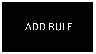## ADD RULE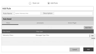

| <b>System Telemetry Rule</b> |                  |                           |                                     |               |
|------------------------------|------------------|---------------------------|-------------------------------------|---------------|
|                              |                  |                           |                                     |               |
|                              | processers       |                           | <b>Action Plugin</b>                |               |
|                              |                  | $\mathscr{L}(\mathbb{Q})$ |                                     | Add Filter    |
|                              | Filter type      |                           |                                     |               |
|                              |                  |                           |                                     | 0<br>Edit     |
|                              |                  |                           |                                     | <b>Delete</b> |
| <b>Home Telemetry Data</b>   | Telemetry Filter | System Telemetry Data     | TelemetryMsgConverterAction         |               |
|                              |                  |                           |                                     |               |
|                              |                  |                           | Cancel                              | Add           |
|                              |                  |                           | Description<br>Messaged Type Filter |               |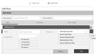

| <b>Add Rule</b>      |                              |             |                                |             |               |
|----------------------|------------------------------|-------------|--------------------------------|-------------|---------------|
| <b>Rule Detail</b>   |                              |             |                                |             |               |
| <b>Rule Name</b>     | <b>System Telemetry Rule</b> | Description |                                |             |               |
| Filters              |                              | processers  | Action Plugin                  |             |               |
| <b>Adding Filter</b> |                              |             |                                |             | ler           |
| Name                 | <b>System Telemetry Rule</b> | Filter Type | Message Type Filter            | $\check{~}$ |               |
|                      |                              |             | Device Type Filter             |             | Edit          |
| Message Types        | $\checkmark$                 |             | Device Attribute Filter        |             | <b>Delete</b> |
|                      | <b>Get Attributes</b>        |             | <b>Method Name Filter</b>      |             |               |
|                      | <b>Post Attributes</b>       |             | <b>Device Telemetry Filter</b> |             |               |
|                      | Post Telemetry               |             |                                |             |               |
|                      | <b>RFC Request</b>           |             |                                |             |               |
|                      |                              |             | Cancel                         | Add         |               |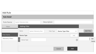| <b>Add Rule</b>          |                                                                                           |                             |
|--------------------------|-------------------------------------------------------------------------------------------|-----------------------------|
| <b>Rule Detail</b>       |                                                                                           |                             |
| <b>Rule Name</b>         | Description<br><b>System Telemetry Rule</b>                                               |                             |
| Filters                  | <b>Adding Filter</b>                                                                      |                             |
|                          | Name<br><b>System Telemetry Rule</b><br>Device Type Filter<br>Filter Type<br>$\checkmark$ | Add Filter                  |
| Filter Name              | Device Type<br>Add                                                                        |                             |
| <b>Telemetry Filters</b> | $\circledcirc$<br>Device Type                                                             | $\bullet$<br>Edit<br>Delete |
|                          |                                                                                           |                             |
|                          | Add<br>Cancel                                                                             |                             |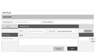| <b>Add Rule</b>    |                              |                              |             |                         |              |                        |
|--------------------|------------------------------|------------------------------|-------------|-------------------------|--------------|------------------------|
| <b>Rule Detail</b> |                              |                              |             |                         |              |                        |
| <b>Rule Name</b>   | <b>System Telemetry Rule</b> |                              | Description |                         |              |                        |
| Filters            | <b>Adding Filter</b>         |                              |             |                         |              |                        |
|                    | Name                         | <b>System Telemetry Rule</b> | Filter Type | Device Attribute Filter | $\checkmark$ | <b>Add Filter</b>      |
| Filter Name        | Filter                       |                              |             |                         |              |                        |
| Telemetry Filters  |                              |                              |             |                         |              | $\bullet$<br>Edit<br>œ |
|                    |                              |                              |             |                         |              | Delete                 |
|                    |                              |                              |             |                         |              |                        |
|                    |                              |                              |             | Add<br>Cancel           |              |                        |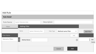| <b>Add Rule</b>          |                              |                              |             |                    |                |                   |                |
|--------------------------|------------------------------|------------------------------|-------------|--------------------|----------------|-------------------|----------------|
| <b>Rule Detail</b>       |                              |                              |             |                    |                |                   |                |
| <b>Rule Name</b>         | <b>System Telemetry Rule</b> |                              | Description |                    |                |                   |                |
| Filters                  | <b>Adding Filter</b>         |                              |             |                    |                |                   |                |
|                          | Name                         | <b>System Telemetry Rule</b> | Filter Type | Method name Filter | $\checkmark$   | <b>Add Filter</b> |                |
| Filter Name              |                              |                              |             |                    | Add            |                   |                |
| <b>Telemetry Filters</b> | <b>Method Name</b>           |                              |             |                    | $\circledcirc$ | ۰<br>$\bullet$    | Edit<br>Delete |
|                          |                              |                              |             | Cancel             | Add            |                   |                |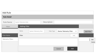| <b>Add Rule</b>    |                              |                              |             |                                |              |                                |        |
|--------------------|------------------------------|------------------------------|-------------|--------------------------------|--------------|--------------------------------|--------|
| <b>Rule Detail</b> |                              |                              |             |                                |              |                                |        |
| <b>Rule Name</b>   | <b>System Telemetry Rule</b> |                              | Description |                                |              |                                |        |
| Filters            | <b>Adding Filter</b>         |                              |             |                                |              |                                |        |
|                    | Name                         | <b>System Telemetry Rule</b> | Filter Type | <b>Device Telemetry Filter</b> | $\checkmark$ | <b>Add Filter</b>              |        |
| Filter Name        | Filter                       |                              |             |                                | Add          |                                |        |
| Telemetry Filters  |                              |                              |             |                                |              | $\bullet$<br>Edit<br>$\bullet$ | Delete |
|                    |                              |                              |             |                                |              |                                |        |
|                    |                              |                              |             | Add<br>Cancel                  |              |                                |        |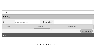| Rules              |                       |                         |                       |
|--------------------|-----------------------|-------------------------|-----------------------|
| <b>Rule Detail</b> |                       | $\checkmark$            |                       |
| Name               | System Telemetry Rule | Description             |                       |
| Filters            | Processers            |                         | <b>Action Plugin</b>  |
|                    |                       |                         | <b>Add Processers</b> |
| Plugin             |                       |                         |                       |
|                    |                       |                         |                       |
|                    |                       | NO PROCESSOR CONFIGURED |                       |
|                    |                       |                         |                       |
|                    |                       |                         |                       |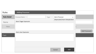| <b>Rules</b>       | <b>Adding Processor</b>         |      |                 |                                  |
|--------------------|---------------------------------|------|-----------------|----------------------------------|
| <b>Rule Detail</b> | Processor Name                  | Type | Alarm Processer | $\checkmark$                     |
| Name               | <b>Alarm Trigger Expression</b> |      |                 | (Deprecated) Alarm Deduplication |
| Filters            |                                 |      |                 |                                  |
| Plugin             | Alarm clear Expression          |      |                 |                                  |
|                    |                                 |      |                 |                                  |
|                    |                                 |      |                 |                                  |
|                    |                                 |      | Cancel          | Add                              |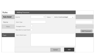| <b>Rules</b>       | <b>Adding Processor</b>                                                     |
|--------------------|-----------------------------------------------------------------------------|
| <b>Rule Detail</b> | $\checkmark$<br>Active Unacknowledged<br>Severity<br>Status<br>$\checkmark$ |
| Name               | Alarm Type                                                                  |
| Filters            | Propagate Alarm                                                             |
|                    | New Alarm on each Event<br><b>Add Processers</b>                            |
| Plugin             | Alarm Detail Jason                                                          |
|                    |                                                                             |
|                    |                                                                             |
|                    |                                                                             |
|                    | Add<br>Cancel                                                               |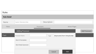| <b>Rules</b>       |                              |             |                                  |                       |
|--------------------|------------------------------|-------------|----------------------------------|-----------------------|
| <b>Rule Detail</b> |                              |             |                                  |                       |
| Name               | <b>System Telemetry Rule</b> | Description |                                  |                       |
| Filters            |                              | Processers  | <b>Action Plugin</b>             |                       |
|                    | Adding Processor             |             |                                  | <b>Add Processers</b> |
| Plugin             | Processor Name               | Type        | (Deprecated) Alarm Deduplication |                       |
|                    | Alarm ID templates           |             |                                  |                       |
|                    | Alarm Body Expression        |             |                                  |                       |
|                    |                              |             |                                  |                       |
|                    |                              |             | Add<br>Cancel                    |                       |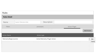| <b>Rules</b>          |                              |                  |                               |                             |                        |
|-----------------------|------------------------------|------------------|-------------------------------|-----------------------------|------------------------|
| <b>Rules Detail</b>   |                              |                  |                               |                             |                        |
| Name<br>raatad ar     | <b>System Telemetry Rule</b> |                  | Description                   |                             |                        |
| Filters               |                              | processers       |                               | <b>Action Plugin</b>        |                        |
|                       |                              |                  | $\leq$                        |                             | <b>Add Action</b>      |
| <b>Action Name</b>    |                              | Action type      |                               |                             |                        |
| TelemetryMsgConverter |                              |                  | ActionTelemetry Plugin Action |                             | $\bullet$<br>Edit<br>۰ |
| AWAY/HOME             | Home Telemetry Data          | Telemetry Filter | <b>System Telemetry Data</b>  | TelemetryMsgConverterAction | Delete                 |
|                       |                              |                  |                               |                             |                        |
|                       |                              |                  |                               |                             |                        |